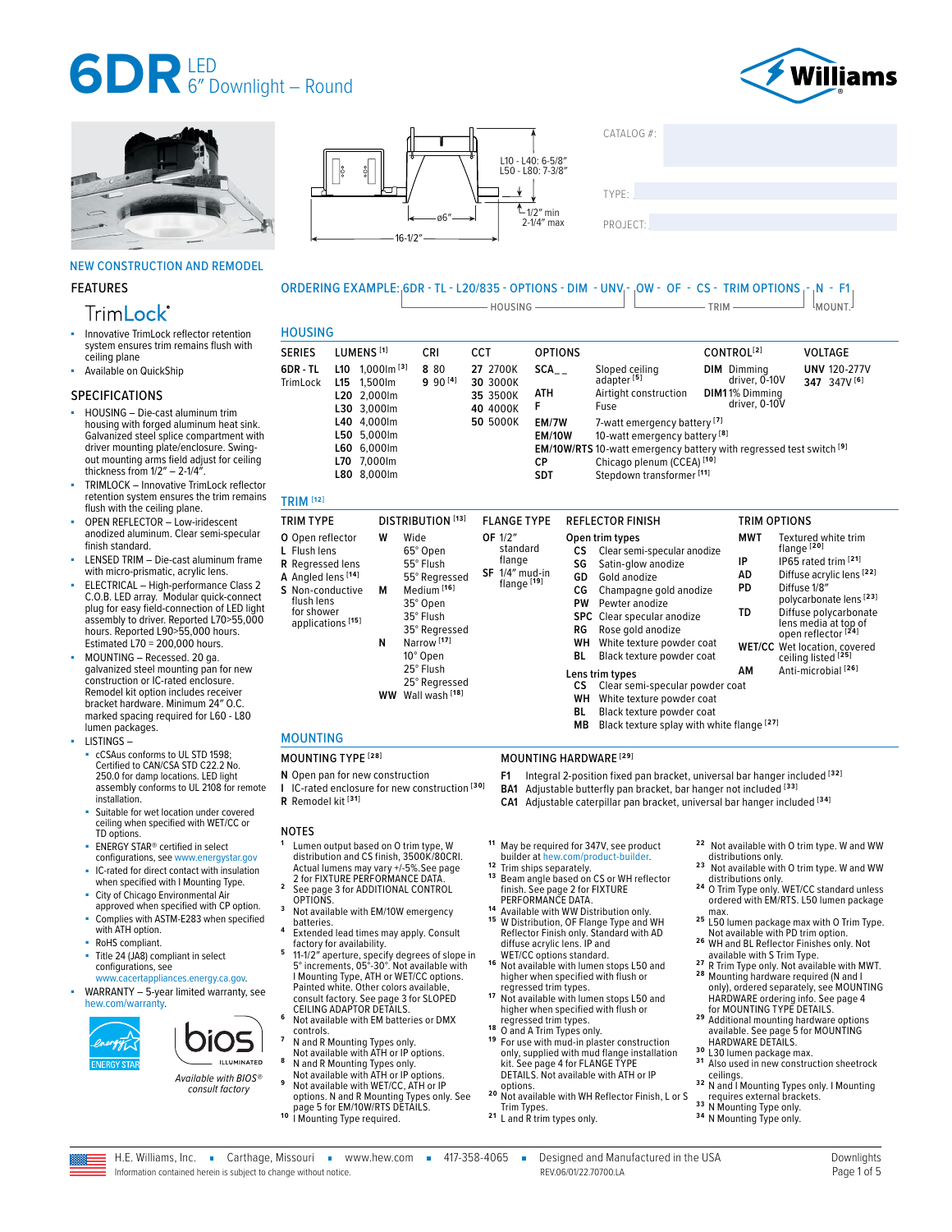





### NEW CONSTRUCTION AND REMODEL

#### FEATURES

# Trim**Lock**\*

- Innovative TrimLock reflector retention system ensures trim remains flush with ceiling plane
- Available on QuickShip

### SPECIFICATIONS

- HOUSING Die-cast aluminum trim housing with forged aluminum heat sink. Galvanized steel splice compartment with driver mounting plate/enclosure. Swingout mounting arms field adjust for ceiling thickness from 1/2″ – 2-1/4″.
- TRIMLOCK Innovative TrimLock reflector retention system ensures the trim remains flush with the ceiling plane.
- OPEN REFLECTOR Low-iridescent anodized aluminum. Clear semi-specular finish standard.
- LENSED TRIM Die-cast aluminum frame with micro-prismatic, acrylic lens.
- ELECTRICAL High-performance Class 2 C.O.B. LED array. Modular quick-connect plug for easy field-connection of LED light assembly to driver. Reported L70>55,000 hours. Reported L90>55,000 hours. Estimated L70 = 200,000 hours.
- MOUNTING Recessed. 20 ga. galvanized steel mounting pan for new construction or IC-rated enclosure. Remodel kit option includes receiver bracket hardware. Minimum 24″ O.C. marked spacing required for L60 - L80 lumen packages.
- LISTINGS –
- cCSAus conforms to UL STD 1598; Certified to CAN/CSA STD C22.2 No. 250.0 for damp locations. LED light assembly conforms to UL 2108 for remote installation.
- Suitable for wet location under covered ceiling when specified with WET/CC or TD options.
- ENERGY STAR<sup>®</sup> certified in select configurations, see [www.energystar.gov](http://www.energystar.gov)
- IC-rated for direct contact with insulation when specified with I Mounting Type. City of Chicago Environmental Air
- approved when specified with CP option. Complies with ASTM-E283 when specified
- with ATH option.
- RoHS compliant.
- Title 24 (JA8) compliant in select configurations, see [www.cacertappliances.energy.ca.gov.](https://cacertappliances.energy.ca.gov/Pages/ApplianceSearch.aspx)
- $WARRANTY 5-year limited warranty, see$ [hew.com/warranty.](https://www.hew.com/resources/warranty-and-terms)



**ILLUMINATED** 

*Available with BIOS® consult factory*



 $CATAI OG \#$ 

TYPE: ����������������������������������������������������

# ORDERING EXAMPLE: 6DR - TL - L20/835 - OPTIONS - DIM - UNV - OW - OF - CS - TRIM OPTIONS - N - F1  $\Box$  HOUSING  $\Box$  TRIM  $\Box$  TRIM  $\Box$  MOUNT.

| <b>HOUSING</b>       |                                                                                                                                                   |                       |                                                          |                                                                      |                                                                                                                                                                                                                                                                                                                                 |                                                                        |                                     |
|----------------------|---------------------------------------------------------------------------------------------------------------------------------------------------|-----------------------|----------------------------------------------------------|----------------------------------------------------------------------|---------------------------------------------------------------------------------------------------------------------------------------------------------------------------------------------------------------------------------------------------------------------------------------------------------------------------------|------------------------------------------------------------------------|-------------------------------------|
| <b>SERIES</b>        | LUMENS <sup>[1]</sup>                                                                                                                             | CRI                   | CCT                                                      | <b>OPTIONS</b>                                                       |                                                                                                                                                                                                                                                                                                                                 | CONTROL <sup>[2]</sup>                                                 | VOLTAGE                             |
| 6DR - TL<br>TrimLock | 1.000 lm $^{[3]}$<br>L10<br>L15 1.500 lm<br>L20 2.000lm<br>L30 3,000lm<br>L40 4.000lm<br>L50 5,000lm<br>L60 6.000lm<br>L70 7,000lm<br>L80 8.000lm | 8 8 0<br>$9.90^{[4]}$ | 27 2700K<br>30 3000K<br>35 3500K<br>40 4000K<br>50 5000K | <b>SCA</b><br>ATH<br>F<br>EM/7W<br><b>EM/10W</b><br>СP<br><b>SDT</b> | Sloped ceiling<br>adapter <sup>[5]</sup><br>Airtight construction<br>Fuse<br>7-watt emergency battery <sup>[7]</sup><br>10-watt emergency battery <sup>[8]</sup><br><b>EM/10W/RTS</b> 10-watt emergency battery with regressed test switch [9]<br>Chicago plenum (CCEA) <sup>[10]</sup><br>Stepdown transformer <sup>[11]</sup> | <b>DIM</b> Dimmina<br>driver, 0-10V<br>DIM11% Dimming<br>driver, 0-10V | <b>UNV 120-277V</b><br>347 347V [6] |

#### TRIM **[12]**

| TRIM TYPE                                                                                                                                                                 | <b>DISTRIBUTION</b> [13]                                                                                                                                                               | <b>FLANGE TYPE</b>                                                        |                                                      | <b>REFLECTOR FINISH</b>                                                                                                                                                                                                                                                                                    | <b>TRIM OPTIONS</b>                      |                                                                                                                                                                                                                                                                                                                                             |
|---------------------------------------------------------------------------------------------------------------------------------------------------------------------------|----------------------------------------------------------------------------------------------------------------------------------------------------------------------------------------|---------------------------------------------------------------------------|------------------------------------------------------|------------------------------------------------------------------------------------------------------------------------------------------------------------------------------------------------------------------------------------------------------------------------------------------------------------|------------------------------------------|---------------------------------------------------------------------------------------------------------------------------------------------------------------------------------------------------------------------------------------------------------------------------------------------------------------------------------------------|
| W<br>O Open reflector<br>L Flush lens<br>R Regressed lens<br>A Angled lens [14]<br>S Non-conductive<br>М<br>flush lens<br>for shower<br>applications <sup>[15]</sup><br>N | Wide<br>65° Open<br>55° Flush<br>55° Regressed<br>Medium <sup>[16]</sup><br>35° Open<br>35° Flush<br>35° Regressed<br>Narrow <sup>[17]</sup><br>10° Open<br>25° Flush<br>25° Regressed | OF 1/2"<br>standard<br>flange<br>SF 1/4" mud-in<br>flange <sup>[19]</sup> | CS.<br>SG<br>GD<br>СG<br>PW<br>RG<br>WН<br>BL<br>CS. | Open trim types<br>Clear semi-specular anodize<br>Satin-glow anodize<br>Gold anodize<br>Champagne gold anodize<br>Pewter anodize<br><b>SPC</b> Clear specular anodize<br>Rose gold anodize<br>White texture powder coat<br>Black texture powder coat<br>Lens trim types<br>Clear semi-specular powder coat | <b>MWT</b><br>IP<br>AD<br>PD<br>TD<br>ΑМ | Textured white trim<br>flange <sup>[20]</sup><br>IP65 rated trim [21]<br>Diffuse acrylic lens [22]<br>Diffuse 1/8"<br>polycarbonate lens [23]<br>Diffuse polycarbonate<br>lens media at top of<br>open reflector <sup>[24]</sup><br><b>WET/CC</b> Wet location, covered<br>ceiling listed <sup>[25]</sup><br>Anti-microbial <sup>[26]</sup> |
|                                                                                                                                                                           | WW Wall wash [18]                                                                                                                                                                      |                                                                           | WН<br><b>BL</b><br>MВ                                | White texture powder coat<br>Black texture powder coat<br>Black texture splay with white flange [27]                                                                                                                                                                                                       |                                          |                                                                                                                                                                                                                                                                                                                                             |

### MOUNTING

# MOUNTING TYPE **[28]** MOUNTING HARDWARE **[29]**

- **N** Open pan for new construction<br>**I** IC-rated enclosure for new cons
- **I** IC-rated enclosure for new construction **[30]**
- **R** Remodel kit **[31]**

#### NOTES

- **<sup>1</sup>** Lumen output based on O trim type, W distribution and CS finish, 3500K/80CRI. Actual lumens may vary +/-5%.[See page](#page-1-0)
- **2 for FIXTURE 2 for ADDITIONAL CONTROL**<br>OPTIONS.
- <sup>3</sup> Not available with EM/10W emergency
- batteries.<br>**Extended lead times may apply. Consult**<br>factory for availability.
- factory for availability. **<sup>5</sup>** 11-1/2″ aperture, specify degrees of slope in 5° increments, 05°-30°. Not available with I Mounting Type, ATH or WET/CC options. Painted white. Other colors available,<br>consult factory. See page 3 for SLOPED<br>[CEILING ADAPTOR DETAILS.](#page-2-1)<br>**6** Not available with EM batteries or DMX
- 
- controls. **<sup>7</sup>** N and R Mounting Types only.
- Not available with ATH or IP options. **<sup>8</sup>** N and R Mounting Types only. Not available with ATH or IP options. **<sup>9</sup>** Not available with WET/CC, ATH or IP
- options. N and R Mounting Types only. See<br>page 5 for EM/10W/RTS DETAILS.
- 10 | Mounting Type required.
- <sup>11</sup> May be required for 347V, see product<br>builder at hew.com/product-builder.
- **12** Trim ships separately.<br> **13** Beam angle based on CS or WH reflector finish. [See page 2 for FIXTURE](#page-1-0)

**F1** Integral 2-position fixed pan bracket, universal bar hanger included **[32] BA1** Adjustable butterfly pan bracket, bar hanger not included **[33] CA1** Adjustable caterpillar pan bracket, universal bar hanger included **[34]**

- **14 Available with WW Distribution only.<br>14 Available with WW Distribution only.<br><sup>15</sup> W Distribution, OF Flange Type and WH<br>Reflector Finish only. Standard with AD** diffuse acrylic lens. IP and
- WET/CC options standard.<br><sup>16</sup> Not available with lumen stops L50 and higher when specified with flush or
- regressed trim types. **1 7** Not available with lumen stops L50 and higher when specified with flush or<br>regressed trim types.<br>O and A Trim Types only.
- 
- <sup>18</sup> O and A Trim Types only.<br><sup>19</sup> For use with mud-in plaster construction only, supplied with mud flange installation kit. [See page 4 for FLANGE TYPE](#page-3-0)  [DETAILS.](#page-3-0) Not available with ATH or IF<br>options.
- <sup>20</sup> Not available with WH Reflector Finish, L or S<br>Trim Types.
- 21 L and R trim types only.
- **2 2** Not available with O trim type. W and WW distributions only.<br>
<sup>23</sup> Not available with O trim type. W and WW
- 
- distributions only. **2 4** O Trim Type only. WET/CC standard unless ordered with EM/RTS. L50 lumen package
- max.<br>**25** L50 lumen package max with O Trim Type.<br>Not available with PD trim option. 26 WH and BL Reflector Finishes only. Not
- available with S Trim Type.<br><sup>27</sup> R Trim Type only. Not available with MWT.<br><sup>28</sup> Mounting hardware required (N and I
- only), ordered separately, see MOUNTING HARDWARE ordering info. [See page 4](#page-3-1)
- [for MOUNTING TYPE DETAILS.](#page-3-1) **2 9** Additional mounting hardware options available. [See page 5 for MOUNTING](#page-4-1)
- [HARDWARE DETAILS.](#page-4-1) **3 0** L30 lumen package max. **3 1** Also used in new construction sheetrock
- se ceilings.<br> **32** N and I Mounting Types only. I Mounting<br>
<sub>11</sub> requires external brackets.
- requires external brack<br><sup>33</sup> N Mounting Type only.<br><sup>34</sup> N Mounting Type only.
	-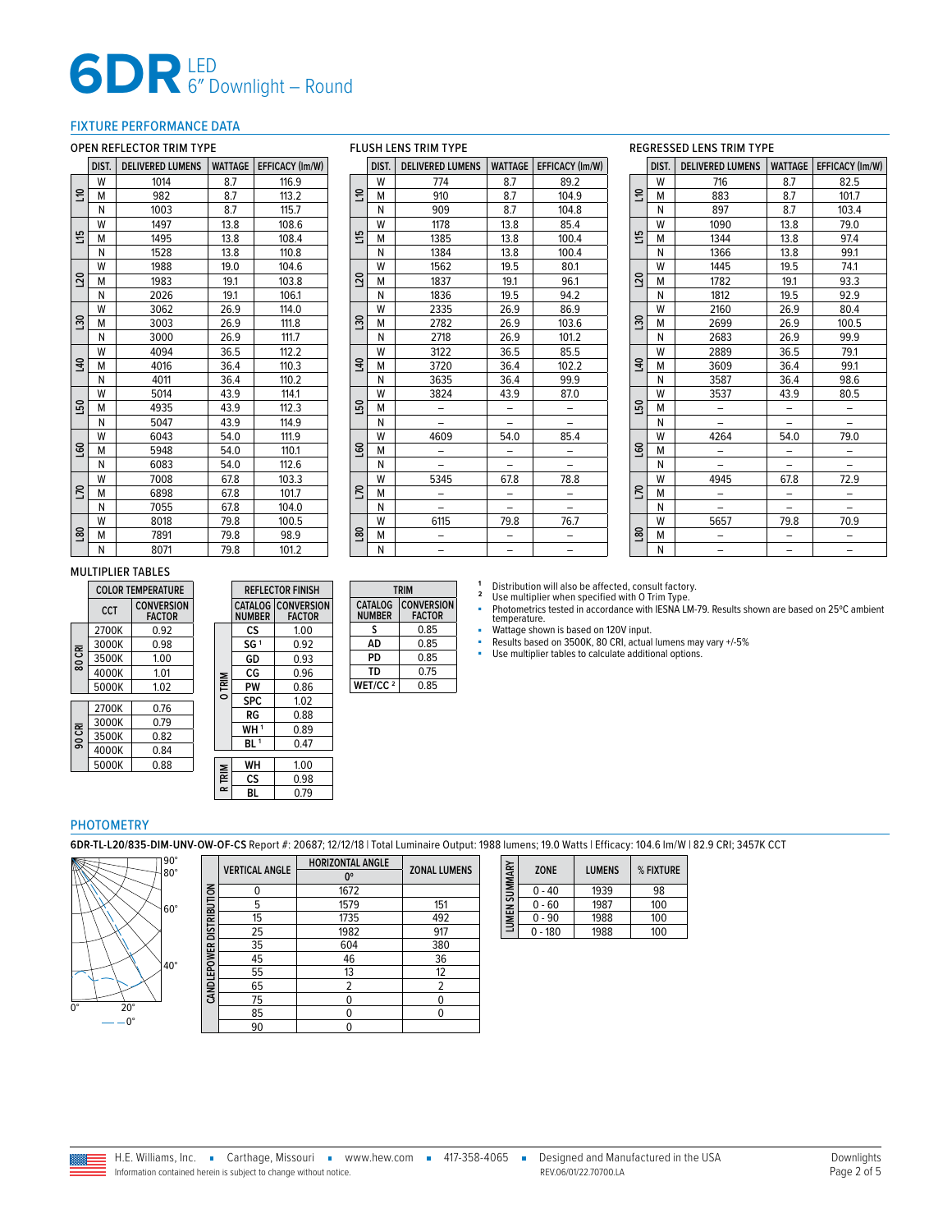### <span id="page-1-0"></span>FIXTURE PERFORMANCE DATA

### OPEN REFLECTOR TRIM TYPE

|                | DIST. | <b>DELIVERED LUMENS</b> | <b>WATTAGE</b> | EFFICACY (Im/W) |
|----------------|-------|-------------------------|----------------|-----------------|
|                | W     | 1014                    | 8.7            | 116.9           |
| ទី             | М     | 982                     | 8.7            | 113.2           |
|                | N     | 1003                    | 8.7            | 115.7           |
|                | W     | 1497                    | 13.8           | 108.6           |
| 쁰              | M     | 1495                    | 13.8           | 108.4           |
|                | N     | 1528                    | 13.8           | 110.8           |
|                | W     | 1988                    | 19.0           | 104.6           |
| 20             | М     | 1983                    | 19.1           | 103.8           |
|                | N     | 2026                    | 19.1           | 106.1           |
|                | W     | 3062                    | 26.9           | 114.0           |
| ສຸ             | M     | 3003                    | 26.9           | 111.8           |
|                | N     | 3000                    | 26.9           | 111.7           |
|                | W     | 4094                    | 36.5           | 112.2           |
| $\overline{a}$ | M     | 4016                    | 36.4           | 110.3           |
|                | N     | 4011                    | 36.4           | 110.2           |
|                | W     | 5014                    | 43.9           | 114.1           |
| 50             | M     | 4935                    | 43.9           | 112.3           |
|                | N     | 5047                    | 43.9           | 114.9           |
|                | W     | 6043                    | 54.0           | 111.9           |
| ទី             | M     | 5948                    | 54.0           | 110.1           |
|                | N     | 6083                    | 54.0           | 112.6           |
|                | W     | 7008                    | 67.8           | 103.3           |
| 50             | М     | 6898                    | 67.8           | 101.7           |
|                | N     | 7055                    | 67.8           | 104.0           |
|                | W     | 8018                    | 79.8           | 100.5           |
| $^{80}$        | M     | 7891                    | 79.8           | 98.9            |
|                | N     | 8071                    | 79.8           | 101.2           |

|                | DIST. | <b>DELIVERED LUMENS</b> | <b>WATTAGE</b> | EFFICACY (Im/W) |
|----------------|-------|-------------------------|----------------|-----------------|
|                | W     | 774                     | 8.7            | 89.2            |
| 음              | M     | 910                     | 8.7            | 104.9           |
|                | N     | 909                     | 8.7            | 104.8           |
|                | W     | 1178                    | 13.8           | 85.4            |
| 57             | M     | 1385                    | 13.8           | 100.4           |
|                | N     | 1384                    | 13.8           | 100.4           |
|                | W     | 1562                    | 19.5           | 80.1            |
| 20             | M     | 1837                    | 19.1           | 96.1            |
|                | N     | 1836                    | 19.5           | 94.2            |
|                | W     | 2335                    | 26.9           | 86.9            |
| នី             | M     | 2782                    | 26.9           | 103.6           |
|                | N     | 2718                    | 26.9           | 101.2           |
|                | W     | 3122                    | 36.5           | 85.5            |
| $\overline{a}$ | М     | 3720                    | 36.4           | 102.2           |
|                | N     | 3635                    | 36.4           | 99.9            |
|                | W     | 3824                    | 43.9           | 87.0            |
| <b>L50</b>     | M     |                         | -              |                 |
|                | N     |                         |                |                 |
|                | W     | 4609                    | 54.0           | 85.4            |
| <b>GO</b>      | M     |                         |                |                 |
|                | N     |                         |                |                 |
|                | W     | 5345                    | 67.8           | 78.8            |
| DO.            | M     |                         |                |                 |
|                | N     |                         |                |                 |
|                | W     | 6115                    | 79.8           | 76.7            |
| <b>SST</b>     | M     |                         |                |                 |
|                | N     |                         |                |                 |

#### **DIST. DELIVERED LUMENS WATTAGE EFFICACY (lm/W)**<br>W 716 8.7 82.5 **L10** W | 716 | 8.7 | 82.5 M 883 8.7 101.7 N 897 8.7 103.4 **L15** W 1090 13.8 79.0<br>M 1344 13.8 97.4 1344 13.8 97.4<br>1366 13.8 99.1 1366 13.8 99.1<br>W 1445 19.5 74.1 **L20** W 1445 19.5 74.1<br>M 1782 19.1 93.3 M | 1782 | 19.1 | 93.3 N 1812 19.5 92.9 **L30** W 2160 26.9 80.4 M 2699 26.9 100.5<br>N 2683 26.9 99.9 N 2683 26.9 99.9 **L40** W 2889 36.5 79.1<br>M 3609 36.4 99.1 M 3609 36.4<br>N 3587 36.4 N 3587 36.4 98.6<br>W 3537 43.9 80.5 **L50**  $\begin{array}{c|c}\nW & 3537 \\
M & -\n\end{array}$ M – – – – – – N – – – – – – **L60** W 4264 54.0 79.0 M – – – – – – – N – – – – – – – **L70** W 4945 67.8 72.9 M – – – – – – N – – – – – – – **L80** W 5657 79.8 70.9 M – – – – – – N – – – – –

REGRESSED LENS TRIM TYPE

#### MULTIPLIER TABLES

|                                                  | <b>COLOR TEMPERATURE</b> |  |  |  |  |
|--------------------------------------------------|--------------------------|--|--|--|--|
| <b>CONVERSION</b><br><b>CCT</b><br><b>FACTOR</b> |                          |  |  |  |  |
| 2700K<br>0.92                                    |                          |  |  |  |  |
| 3000K<br>0.98                                    |                          |  |  |  |  |
| 80 CRI<br>3500K<br>1.00                          |                          |  |  |  |  |
| 4000K<br>1.01                                    |                          |  |  |  |  |
| 5000K<br>1.02                                    |                          |  |  |  |  |
|                                                  |                          |  |  |  |  |
| 2700K<br>0.76                                    |                          |  |  |  |  |
| 3000K<br>0.79                                    |                          |  |  |  |  |
| 90 CRI<br>3500K<br>0.82                          |                          |  |  |  |  |
| 4000K<br>0.84                                    |                          |  |  |  |  |
| 5000K<br>0.88                                    |                          |  |  |  |  |

|               | <b>REFLECTOR FINISH</b> |                                            |  |  |  |
|---------------|-------------------------|--------------------------------------------|--|--|--|
|               | <b>NUMBER</b>           | <b>CATALOG CONVERSION</b><br><b>FACTOR</b> |  |  |  |
|               | CS                      | 1.00                                       |  |  |  |
|               | SG <sup>1</sup>         | 0.92                                       |  |  |  |
|               | GD                      | 0.93                                       |  |  |  |
| <b>O TRIM</b> | СG                      | 0.96                                       |  |  |  |
|               | PW                      | 0.86                                       |  |  |  |
|               | <b>SPC</b>              | 1.02                                       |  |  |  |
|               | RG                      | 0.88                                       |  |  |  |
|               | WH <sup>1</sup>         | 0.89                                       |  |  |  |
|               | BL <sup>1</sup>         | 0.47                                       |  |  |  |
|               |                         |                                            |  |  |  |
|               | WH                      | 1.00                                       |  |  |  |
| <b>R TRIM</b> | сs                      | 0.98                                       |  |  |  |
|               | вL                      | 0.79                                       |  |  |  |

| <b>TRIM</b>                     |                                    |  |  |  |
|---------------------------------|------------------------------------|--|--|--|
| <b>CATALOG</b><br><b>NUMBER</b> | <b>CONVERSION</b><br><b>FACTOR</b> |  |  |  |
| s                               | 0.85                               |  |  |  |
| AD                              | 0.85                               |  |  |  |
| PD                              | 0.85                               |  |  |  |
| TD                              | 0.75                               |  |  |  |
| WET/CC <sup>2</sup>             | 0.85                               |  |  |  |

FLUSH LENS TRIM TYPE

**1** Distribution will also be affected, consult factory.<br><sup>2</sup> Use multiplier when specified with O Trim Type.<br>■ Photometrics tested in accordance with IESNA LM-79. Results shown are based on 25℃ ambient temperature.

■ Wattage shown is based on 120V input.<br>■ Results based on 3500K 80 CRL actual

■ Results based on 3500K, 80 CRI, actual lumens may vary +/-5%

Use multiplier tables to calculate additional options.

### PHOTOMETRY

**6DR-TL-L20/835-DIM-UNV-OW-OF-CS** Report #: 20687; 12/12/18 | Total Luminaire Output: 1988 lumens; 19.0 Watts | Efficacy: 104.6 lm/W | 82.9 CRI; 3457K CCT



|                          | 70-01-03 Report #. 20067, 12/12/16   Total Luminane Output. |                         |                     |  |  |
|--------------------------|-------------------------------------------------------------|-------------------------|---------------------|--|--|
|                          | <b>VERTICAL ANGLE</b>                                       | <b>HORIZONTAL ANGLE</b> | <b>ZONAL LUMENS</b> |  |  |
|                          |                                                             | nº                      |                     |  |  |
| CANDLEPOWER DISTRIBUTION | U                                                           | 1672                    |                     |  |  |
|                          | 5                                                           | 1579                    | 151                 |  |  |
|                          | 15                                                          | 1735                    | 492                 |  |  |
|                          | 25                                                          | 1982                    | 917                 |  |  |
|                          | 35                                                          | 604                     | 380                 |  |  |
|                          | 45                                                          | 46                      | 36                  |  |  |
|                          | 55                                                          | 13                      | 12                  |  |  |
|                          | 65                                                          | 2                       | 2                   |  |  |
|                          | 75                                                          |                         | 0                   |  |  |
|                          | 85                                                          |                         | 0                   |  |  |
|                          | 90                                                          | ი                       |                     |  |  |

| LUMEN SUMMARY | <b>ZONE</b> | <b>LUMENS</b> | % FIXTURE |
|---------------|-------------|---------------|-----------|
|               | $0 - 40$    | 1939          | 98        |
|               | 0 - 60      | 1987          | 100       |
|               | $0 - 90$    | 1988          | 100       |
|               | $-180$      | 1988          | 100       |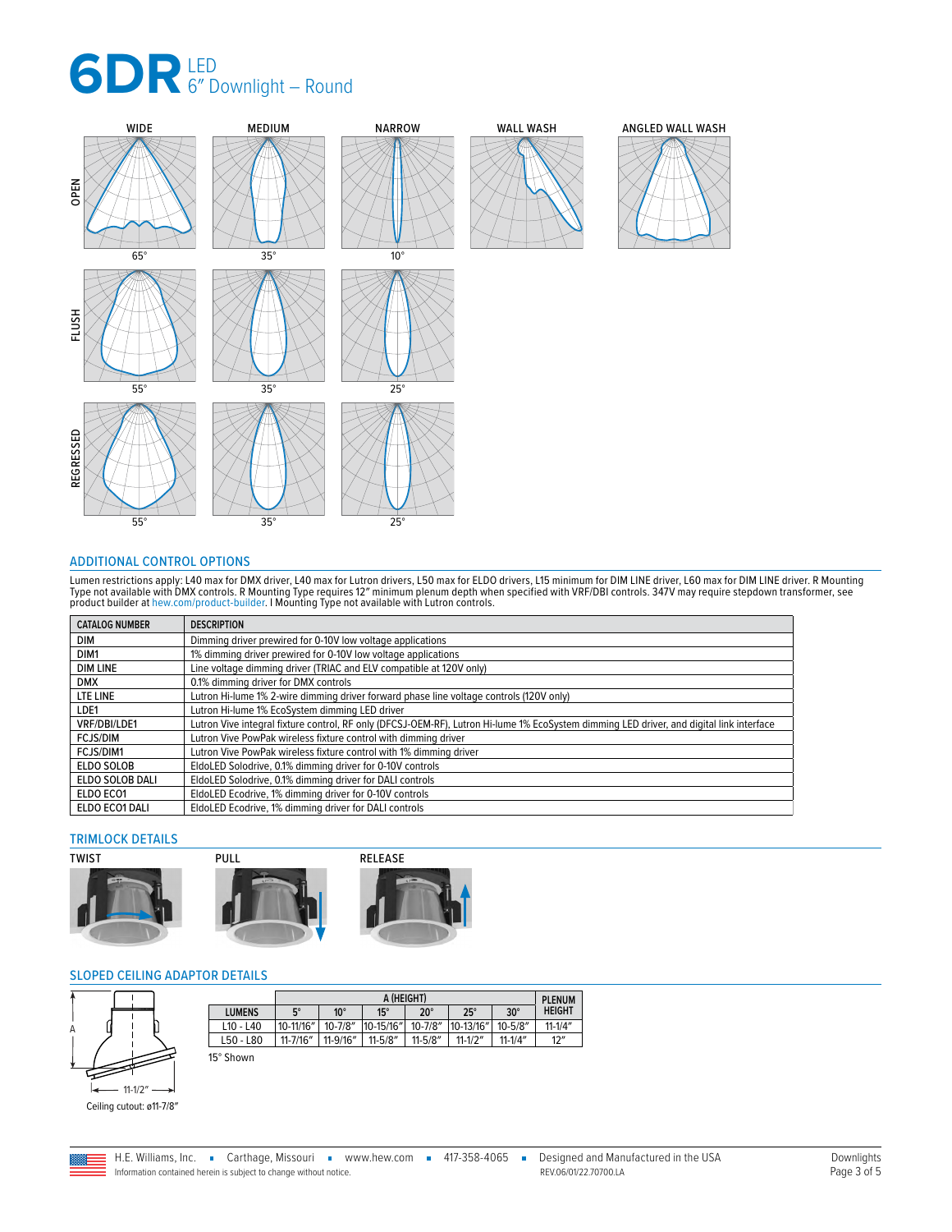

### <span id="page-2-0"></span>ADDITIONAL CONTROL OPTIONS

Lumen restrictions apply: L40 max for DMX driver, L40 max for Lutron drivers, L50 max for ELDO drivers, L15 minimum for DIM LINE driver, L60 max for DIM LINE driver. R Mounting<br>Type not available with DMX controls. R Mount

| <b>CATALOG NUMBER</b> | <b>DESCRIPTION</b>                                                                                                                       |
|-----------------------|------------------------------------------------------------------------------------------------------------------------------------------|
| DIM                   | Dimming driver prewired for 0-10V low voltage applications                                                                               |
| DIM <sub>1</sub>      | 1% dimming driver prewired for 0-10V low voltage applications                                                                            |
| <b>DIM LINE</b>       | Line voltage dimming driver (TRIAC and ELV compatible at 120V only)                                                                      |
| <b>DMX</b>            | 0.1% dimming driver for DMX controls                                                                                                     |
| LTE LINE              | Lutron Hi-lume 1% 2-wire dimming driver forward phase line voltage controls (120V only)                                                  |
| LDE1                  | Lutron Hi-lume 1% EcoSystem dimming LED driver                                                                                           |
| VRF/DBI/LDE1          | Lutron Vive integral fixture control, RF only (DFCSJ-OEM-RF), Lutron Hi-lume 1% EcoSystem dimming LED driver, and digital link interface |
| <b>FCJS/DIM</b>       | Lutron Vive PowPak wireless fixture control with dimming driver                                                                          |
| FCJS/DIM1             | Lutron Vive PowPak wireless fixture control with 1% dimming driver                                                                       |
| ELDO SOLOB            | EldoLED Solodrive, 0.1% dimming driver for 0-10V controls                                                                                |
| ELDO SOLOB DALI       | EldoLED Solodrive, 0.1% dimming driver for DALI controls                                                                                 |
| ELDO ECO1             | EldoLED Ecodrive, 1% dimming driver for 0-10V controls                                                                                   |
| ELDO ECO1 DALI        | EldoLED Ecodrive, 1% dimming driver for DALI controls                                                                                    |

# TRIMLOCK DETAILS





55° 35° 25°



# <span id="page-2-1"></span>SLOPED CEILING ADAPTOR DETAILS



|  | Ceiling cutout: ø11-7/8" |
|--|--------------------------|

|                 | A (HEIGHT)    |               |             |              |             |              | <b>PLENUM</b> |
|-----------------|---------------|---------------|-------------|--------------|-------------|--------------|---------------|
| <b>LUMENS</b>   | $5^\circ$     | $10^{\circ}$  | $15^\circ$  | $20^{\circ}$ | $25^\circ$  | $30^\circ$   | <b>HEIGHT</b> |
| $L$ 10 - $L$ 40 | 10-11/16"     | $10 - 7/8"$   | 10-15/16"   | $10 - 7/8''$ | 10-13/16"   | $10 - 5/8''$ | $11 - 1/4"$   |
| L50 - L80       | $11 - 7/16''$ | $11 - 9/16''$ | $11 - 5/8"$ | $11 - 5/8"$  | $11 - 1/2"$ | $11 - 1/4"$  | 12"           |
| 15° Shown       |               |               |             |              |             |              |               |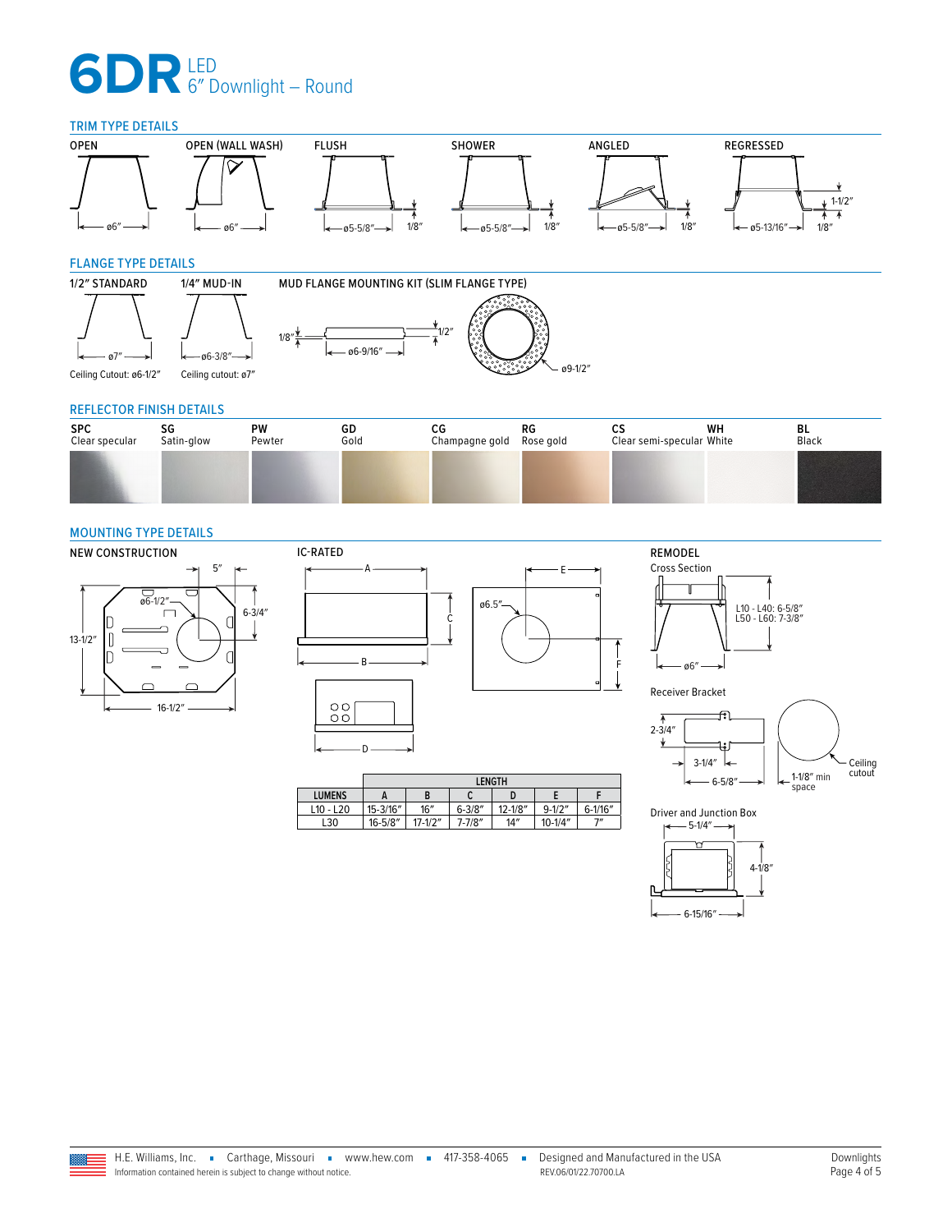# TRIM TYPE DETAILS



# <span id="page-3-0"></span>FLANGE TYPE DETAILS







# REFLECTOR FINISH DETAILS

| <b>SPC</b>     | SG         | <b>PW</b> | GD   | СG             | RG        | ယ                         | WH | BL    |
|----------------|------------|-----------|------|----------------|-----------|---------------------------|----|-------|
| Clear specular | Satin-glow | Pewter    | Gold | Champagne gold | Rose gold | Clear semi-specular White |    | Black |
|                |            |           |      |                |           |                           |    |       |

# <span id="page-3-1"></span>MOUNTING TYPE DETAILS





|               | <b>LENGTH</b> |              |             |             |             |              |  |  |  |
|---------------|---------------|--------------|-------------|-------------|-------------|--------------|--|--|--|
| <b>LUMENS</b> |               | B            |             |             |             |              |  |  |  |
| L10 - L20     | 15-3/16"      | 16''         | $6 - 3/8''$ | $12 - 1/8"$ | $9 - 1/2''$ | $6 - 1/16''$ |  |  |  |
| L30           | $16 - 5/8''$  | $17 - 1/2''$ | 7-7/8″      | 14"         | $10 - 1/4"$ | 7''          |  |  |  |



Receiver Bracket



Driver and Junction Box